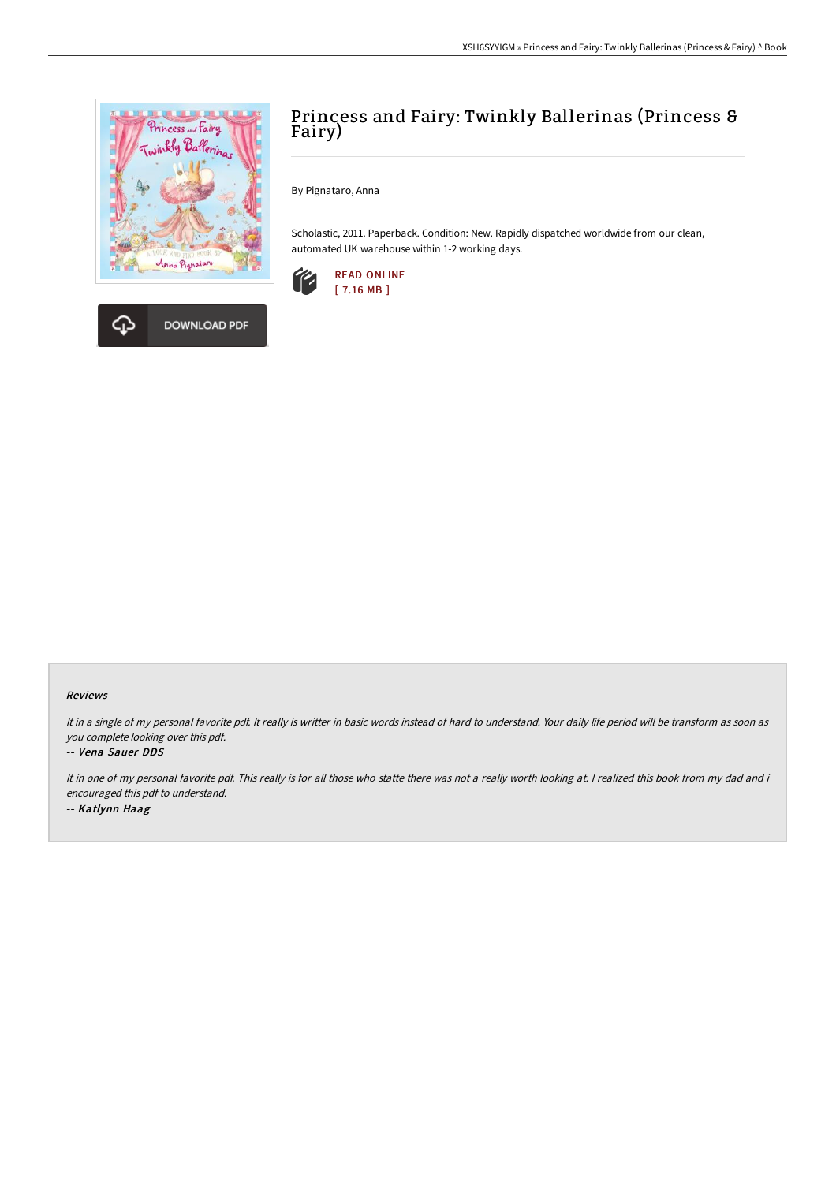



By Pignataro, Anna

Scholastic, 2011. Paperback. Condition: New. Rapidly dispatched worldwide from our clean, automated UK warehouse within 1-2 working days.





# Reviews

It in <sup>a</sup> single of my personal favorite pdf. It really is writter in basic words instead of hard to understand. Your daily life period will be transform as soon as you complete looking over this pdf.

#### -- Vena Sauer DDS

It in one of my personal favorite pdf. This really is for all those who statte there was not a really worth looking at. I realized this book from my dad and i encouraged this pdf to understand. -- Katlynn Haag